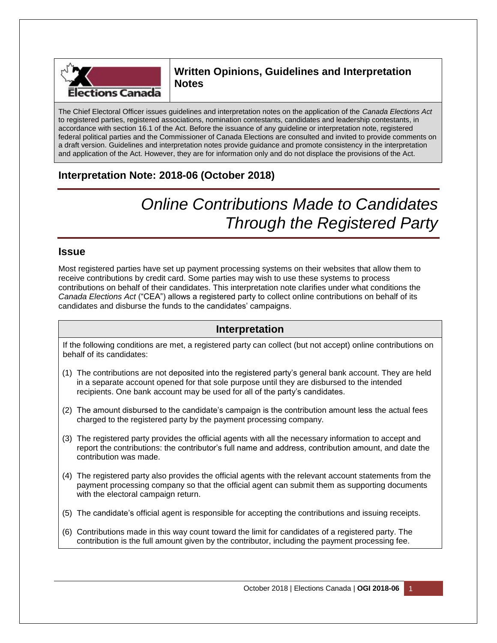

# **Written Opinions, Guidelines and Interpretation Notes**

The Chief Electoral Officer issues guidelines and interpretation notes on the application of the *Canada Elections Act* to registered parties, registered associations, nomination contestants, candidates and leadership contestants, in accordance with section 16.1 of the Act. Before the issuance of any guideline or interpretation note, registered federal political parties and the Commissioner of Canada Elections are consulted and invited to provide comments on a draft version. Guidelines and interpretation notes provide guidance and promote consistency in the interpretation and application of the Act. However, they are for information only and do not displace the provisions of the Act.

# **Interpretation Note: 2018-06 (October 2018)**

# *Online Contributions Made to Candidates Through the Registered Party*

## **Issue**

Most registered parties have set up payment processing systems on their websites that allow them to receive contributions by credit card. Some parties may wish to use these systems to process contributions on behalf of their candidates. This interpretation note clarifies under what conditions the *Canada Elections Act* ("CEA") allows a registered party to collect online contributions on behalf of its candidates and disburse the funds to the candidates' campaigns.

# **Interpretation**

If the following conditions are met, a registered party can collect (but not accept) online contributions on behalf of its candidates:

- (1) The contributions are not deposited into the registered party's general bank account. They are held in a separate account opened for that sole purpose until they are disbursed to the intended recipients. One bank account may be used for all of the party's candidates.
- (2) The amount disbursed to the candidate's campaign is the contribution amount less the actual fees charged to the registered party by the payment processing company.
- (3) The registered party provides the official agents with all the necessary information to accept and report the contributions: the contributor's full name and address, contribution amount, and date the contribution was made.
- (4) The registered party also provides the official agents with the relevant account statements from the payment processing company so that the official agent can submit them as supporting documents with the electoral campaign return.
- (5) The candidate's official agent is responsible for accepting the contributions and issuing receipts.
- (6) Contributions made in this way count toward the limit for candidates of a registered party. The contribution is the full amount given by the contributor, including the payment processing fee.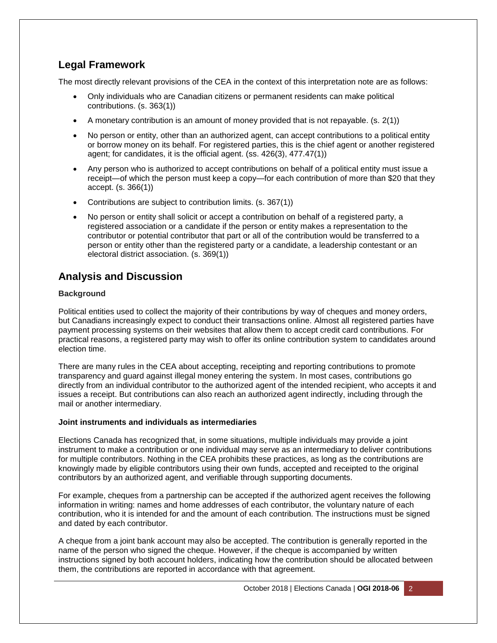# **Legal Framework**

The most directly relevant provisions of the CEA in the context of this interpretation note are as follows:

- Only individuals who are Canadian citizens or permanent residents can make political contributions. (s. 363(1))
- A monetary contribution is an amount of money provided that is not repayable. (s. 2(1))
- No person or entity, other than an authorized agent, can accept contributions to a political entity or borrow money on its behalf. For registered parties, this is the chief agent or another registered agent; for candidates, it is the official agent. (ss. 426(3), 477.47(1))
- Any person who is authorized to accept contributions on behalf of a political entity must issue a receipt—of which the person must keep a copy—for each contribution of more than \$20 that they accept. (s. 366(1))
- Contributions are subject to contribution limits. (s. 367(1))
- No person or entity shall solicit or accept a contribution on behalf of a registered party, a registered association or a candidate if the person or entity makes a representation to the contributor or potential contributor that part or all of the contribution would be transferred to a person or entity other than the registered party or a candidate, a leadership contestant or an electoral district association. (s. 369(1))

# **Analysis and Discussion**

## **Background**

Political entities used to collect the majority of their contributions by way of cheques and money orders, but Canadians increasingly expect to conduct their transactions online. Almost all registered parties have payment processing systems on their websites that allow them to accept credit card contributions. For practical reasons, a registered party may wish to offer its online contribution system to candidates around election time.

There are many rules in the CEA about accepting, receipting and reporting contributions to promote transparency and guard against illegal money entering the system. In most cases, contributions go directly from an individual contributor to the authorized agent of the intended recipient, who accepts it and issues a receipt. But contributions can also reach an authorized agent indirectly, including through the mail or another intermediary.

## **Joint instruments and individuals as intermediaries**

Elections Canada has recognized that, in some situations, multiple individuals may provide a joint instrument to make a contribution or one individual may serve as an intermediary to deliver contributions for multiple contributors. Nothing in the CEA prohibits these practices, as long as the contributions are knowingly made by eligible contributors using their own funds, accepted and receipted to the original contributors by an authorized agent, and verifiable through supporting documents.

For example, cheques from a partnership can be accepted if the authorized agent receives the following information in writing: names and home addresses of each contributor, the voluntary nature of each contribution, who it is intended for and the amount of each contribution. The instructions must be signed and dated by each contributor.

A cheque from a joint bank account may also be accepted. The contribution is generally reported in the name of the person who signed the cheque. However, if the cheque is accompanied by written instructions signed by both account holders, indicating how the contribution should be allocated between them, the contributions are reported in accordance with that agreement.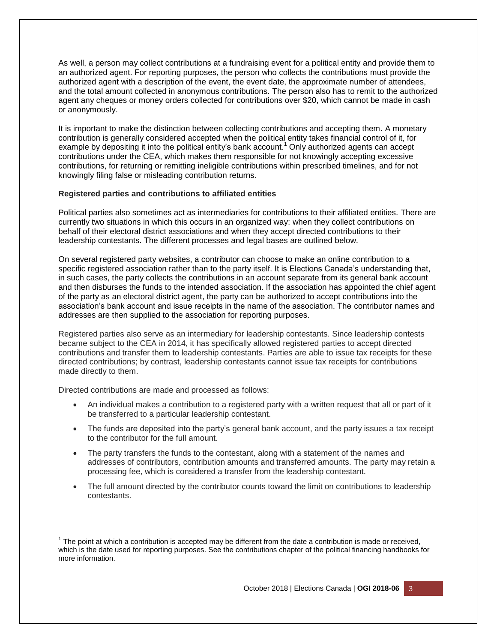As well, a person may collect contributions at a fundraising event for a political entity and provide them to an authorized agent. For reporting purposes, the person who collects the contributions must provide the authorized agent with a description of the event, the event date, the approximate number of attendees, and the total amount collected in anonymous contributions. The person also has to remit to the authorized agent any cheques or money orders collected for contributions over \$20, which cannot be made in cash or anonymously.

It is important to make the distinction between collecting contributions and accepting them. A monetary contribution is generally considered accepted when the political entity takes financial control of it, for example by depositing it into the political entity's bank account.<sup>1</sup> Only authorized agents can accept contributions under the CEA, which makes them responsible for not knowingly accepting excessive contributions, for returning or remitting ineligible contributions within prescribed timelines, and for not knowingly filing false or misleading contribution returns.

#### **Registered parties and contributions to affiliated entities**

Political parties also sometimes act as intermediaries for contributions to their affiliated entities. There are currently two situations in which this occurs in an organized way: when they collect contributions on behalf of their electoral district associations and when they accept directed contributions to their leadership contestants. The different processes and legal bases are outlined below.

On several registered party websites, a contributor can choose to make an online contribution to a specific registered association rather than to the party itself. It is Elections Canada's understanding that, in such cases, the party collects the contributions in an account separate from its general bank account and then disburses the funds to the intended association. If the association has appointed the chief agent of the party as an electoral district agent, the party can be authorized to accept contributions into the association's bank account and issue receipts in the name of the association. The contributor names and addresses are then supplied to the association for reporting purposes.

Registered parties also serve as an intermediary for leadership contestants. Since leadership contests became subject to the CEA in 2014, it has specifically allowed registered parties to accept directed contributions and transfer them to leadership contestants. Parties are able to issue tax receipts for these directed contributions; by contrast, leadership contestants cannot issue tax receipts for contributions made directly to them.

Directed contributions are made and processed as follows:

l

- An individual makes a contribution to a registered party with a written request that all or part of it be transferred to a particular leadership contestant.
- The funds are deposited into the party's general bank account, and the party issues a tax receipt to the contributor for the full amount.
- The party transfers the funds to the contestant, along with a statement of the names and addresses of contributors, contribution amounts and transferred amounts. The party may retain a processing fee, which is considered a transfer from the leadership contestant.
- The full amount directed by the contributor counts toward the limit on contributions to leadership contestants.

 $1$  The point at which a contribution is accepted may be different from the date a contribution is made or received, which is the date used for reporting purposes. See the contributions chapter of the political financing handbooks for more information.